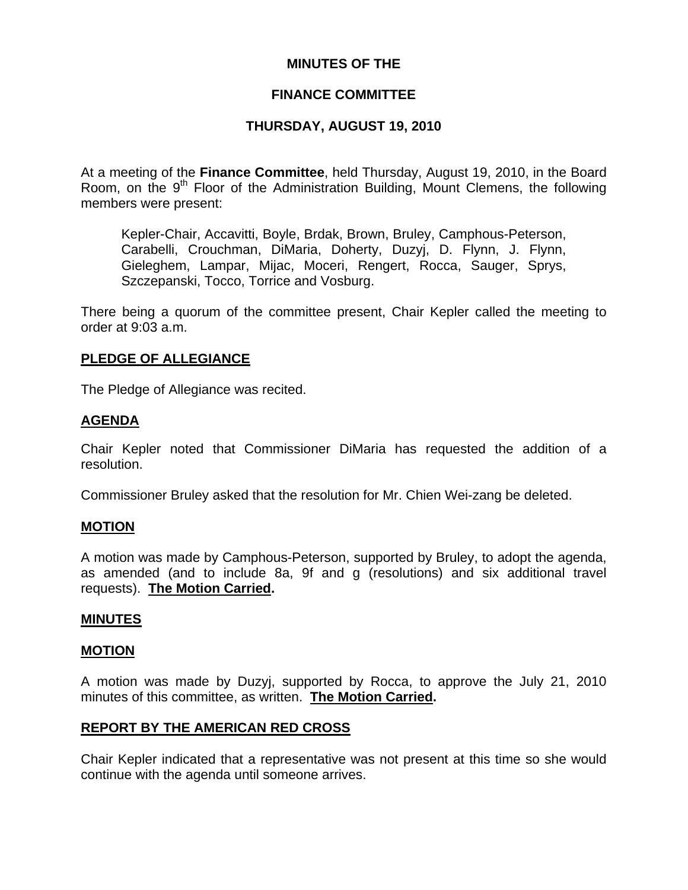## **MINUTES OF THE**

## **FINANCE COMMITTEE**

# **THURSDAY, AUGUST 19, 2010**

At a meeting of the **Finance Committee**, held Thursday, August 19, 2010, in the Board Room, on the  $9<sup>th</sup>$  Floor of the Administration Building, Mount Clemens, the following members were present:

Kepler-Chair, Accavitti, Boyle, Brdak, Brown, Bruley, Camphous-Peterson, Carabelli, Crouchman, DiMaria, Doherty, Duzyj, D. Flynn, J. Flynn, Gieleghem, Lampar, Mijac, Moceri, Rengert, Rocca, Sauger, Sprys, Szczepanski, Tocco, Torrice and Vosburg.

There being a quorum of the committee present, Chair Kepler called the meeting to order at 9:03 a.m.

## **PLEDGE OF ALLEGIANCE**

The Pledge of Allegiance was recited.

## **AGENDA**

Chair Kepler noted that Commissioner DiMaria has requested the addition of a resolution.

Commissioner Bruley asked that the resolution for Mr. Chien Wei-zang be deleted.

## **MOTION**

A motion was made by Camphous-Peterson, supported by Bruley, to adopt the agenda, as amended (and to include 8a, 9f and g (resolutions) and six additional travel requests). **The Motion Carried.** 

## **MINUTES**

#### **MOTION**

A motion was made by Duzyj, supported by Rocca, to approve the July 21, 2010 minutes of this committee, as written. **The Motion Carried.** 

## **REPORT BY THE AMERICAN RED CROSS**

Chair Kepler indicated that a representative was not present at this time so she would continue with the agenda until someone arrives.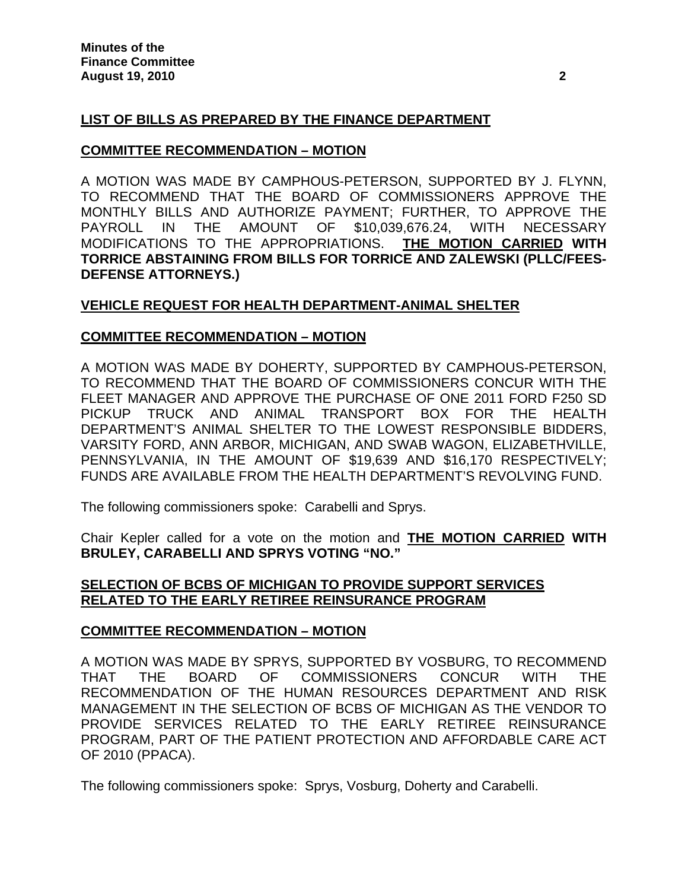# **LIST OF BILLS AS PREPARED BY THE FINANCE DEPARTMENT**

## **COMMITTEE RECOMMENDATION – MOTION**

A MOTION WAS MADE BY CAMPHOUS-PETERSON, SUPPORTED BY J. FLYNN, TO RECOMMEND THAT THE BOARD OF COMMISSIONERS APPROVE THE MONTHLY BILLS AND AUTHORIZE PAYMENT; FURTHER, TO APPROVE THE PAYROLL IN THE AMOUNT OF \$10,039,676.24, WITH NECESSARY MODIFICATIONS TO THE APPROPRIATIONS. **THE MOTION CARRIED WITH TORRICE ABSTAINING FROM BILLS FOR TORRICE AND ZALEWSKI (PLLC/FEES-DEFENSE ATTORNEYS.)** 

# **VEHICLE REQUEST FOR HEALTH DEPARTMENT-ANIMAL SHELTER**

## **COMMITTEE RECOMMENDATION – MOTION**

A MOTION WAS MADE BY DOHERTY, SUPPORTED BY CAMPHOUS-PETERSON, TO RECOMMEND THAT THE BOARD OF COMMISSIONERS CONCUR WITH THE FLEET MANAGER AND APPROVE THE PURCHASE OF ONE 2011 FORD F250 SD PICKUP TRUCK AND ANIMAL TRANSPORT BOX FOR THE HEALTH DEPARTMENT'S ANIMAL SHELTER TO THE LOWEST RESPONSIBLE BIDDERS, VARSITY FORD, ANN ARBOR, MICHIGAN, AND SWAB WAGON, ELIZABETHVILLE, PENNSYLVANIA, IN THE AMOUNT OF \$19,639 AND \$16,170 RESPECTIVELY; FUNDS ARE AVAILABLE FROM THE HEALTH DEPARTMENT'S REVOLVING FUND.

The following commissioners spoke: Carabelli and Sprys.

Chair Kepler called for a vote on the motion and **THE MOTION CARRIED WITH BRULEY, CARABELLI AND SPRYS VOTING "NO."** 

# **SELECTION OF BCBS OF MICHIGAN TO PROVIDE SUPPORT SERVICES RELATED TO THE EARLY RETIREE REINSURANCE PROGRAM**

## **COMMITTEE RECOMMENDATION – MOTION**

A MOTION WAS MADE BY SPRYS, SUPPORTED BY VOSBURG, TO RECOMMEND THAT THE BOARD OF COMMISSIONERS CONCUR WITH THE RECOMMENDATION OF THE HUMAN RESOURCES DEPARTMENT AND RISK MANAGEMENT IN THE SELECTION OF BCBS OF MICHIGAN AS THE VENDOR TO PROVIDE SERVICES RELATED TO THE EARLY RETIREE REINSURANCE PROGRAM, PART OF THE PATIENT PROTECTION AND AFFORDABLE CARE ACT OF 2010 (PPACA).

The following commissioners spoke: Sprys, Vosburg, Doherty and Carabelli.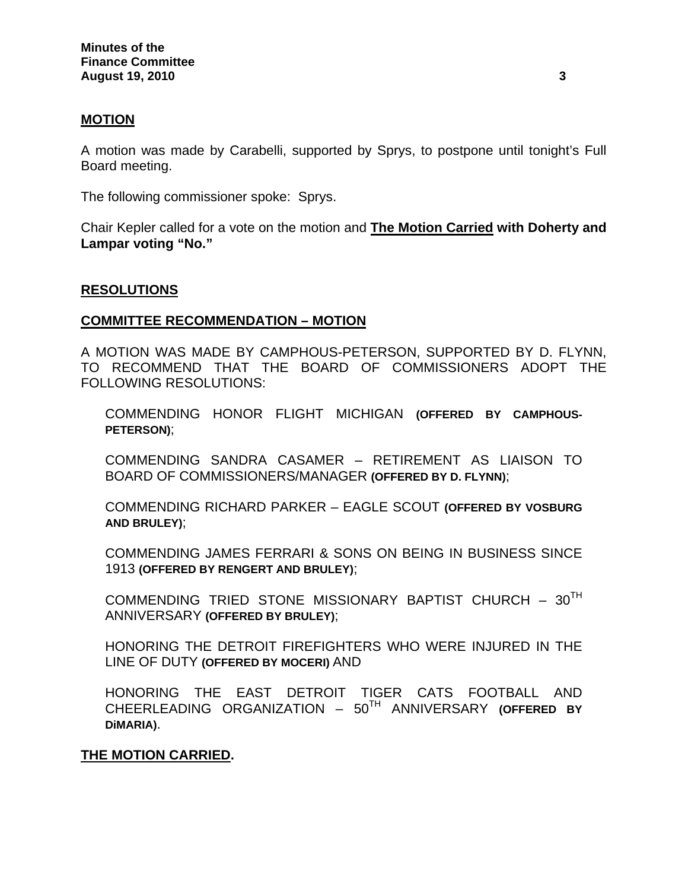## **MOTION**

A motion was made by Carabelli, supported by Sprys, to postpone until tonight's Full Board meeting.

The following commissioner spoke: Sprys.

Chair Kepler called for a vote on the motion and **The Motion Carried with Doherty and Lampar voting "No."**

#### **RESOLUTIONS**

#### **COMMITTEE RECOMMENDATION – MOTION**

A MOTION WAS MADE BY CAMPHOUS-PETERSON, SUPPORTED BY D. FLYNN, TO RECOMMEND THAT THE BOARD OF COMMISSIONERS ADOPT THE FOLLOWING RESOLUTIONS:

COMMENDING HONOR FLIGHT MICHIGAN **(OFFERED BY CAMPHOUS-PETERSON)**;

COMMENDING SANDRA CASAMER – RETIREMENT AS LIAISON TO BOARD OF COMMISSIONERS/MANAGER **(OFFERED BY D. FLYNN)**;

COMMENDING RICHARD PARKER – EAGLE SCOUT **(OFFERED BY VOSBURG AND BRULEY)**;

COMMENDING JAMES FERRARI & SONS ON BEING IN BUSINESS SINCE 1913 **(OFFERED BY RENGERT AND BRULEY)**;

COMMENDING TRIED STONE MISSIONARY BAPTIST CHURCH -  $30^{TH}$ ANNIVERSARY **(OFFERED BY BRULEY)**;

HONORING THE DETROIT FIREFIGHTERS WHO WERE INJURED IN THE LINE OF DUTY **(OFFERED BY MOCERI)** AND

HONORING THE EAST DETROIT TIGER CATS FOOTBALL AND CHEERLEADING ORGANIZATION – 50TH ANNIVERSARY **(OFFERED BY DiMARIA)**.

## **THE MOTION CARRIED.**